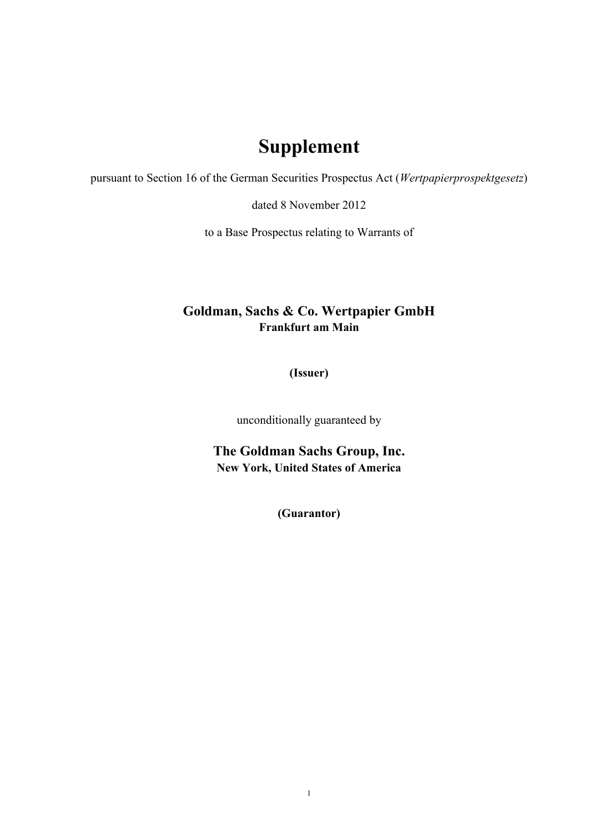## **Supplement**

pursuant to Section 16 of the German Securities Prospectus Act (*Wertpapierprospektgesetz*)

dated 8 November 2012

to a Base Prospectus relating to Warrants of

## **Goldman, Sachs & Co. Wertpapier GmbH Frankfurt am Main**

**(Issuer)**

unconditionally guaranteed by

**The Goldman Sachs Group, Inc. New York, United States of America**

**(Guarantor)**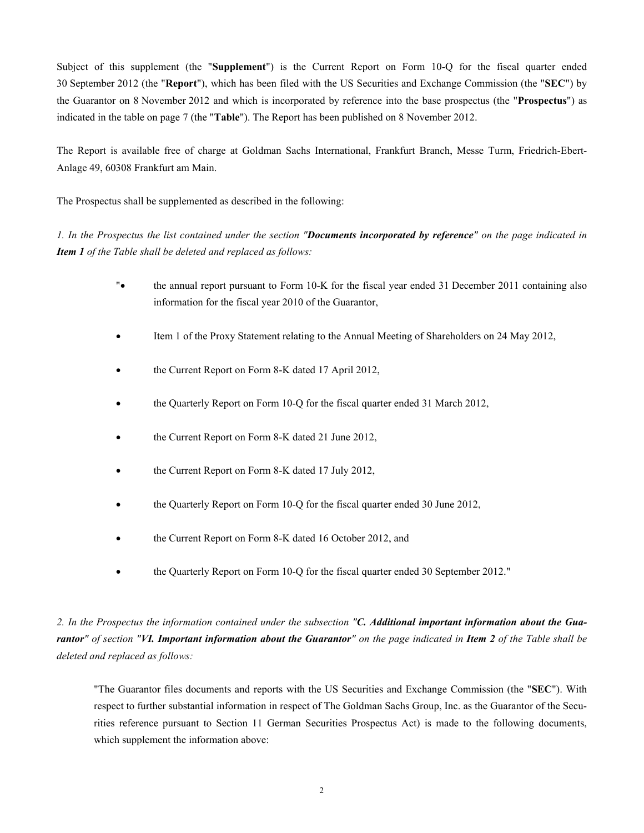Subject of this supplement (the "**Supplement**") is the Current Report on Form 10-Q for the fiscal quarter ended 30 September 2012 (the "**Report**"), which has been filed with the US Securities and Exchange Commission (the "**SEC**") by the Guarantor on 8 November 2012 and which is incorporated by reference into the base prospectus (the "**Prospectus**") as indicated in the table on page 7 (the "**Table**"). The Report has been published on 8 November 2012.

The Report is available free of charge at Goldman Sachs International, Frankfurt Branch, Messe Turm, Friedrich-Ebert-Anlage 49, 60308 Frankfurt am Main.

The Prospectus shall be supplemented as described in the following:

*1. In the Prospectus the list contained under the section "Documents incorporated by reference" on the page indicated in Item 1 of the Table shall be deleted and replaced as follows:*

- "• the annual report pursuant to Form 10-K for the fiscal year ended 31 December 2011 containing also information for the fiscal year 2010 of the Guarantor,
- Item 1 of the Proxy Statement relating to the Annual Meeting of Shareholders on 24 May 2012,
- the Current Report on Form 8-K dated 17 April 2012,
- the Quarterly Report on Form 10-Q for the fiscal quarter ended 31 March 2012,
- the Current Report on Form 8-K dated 21 June 2012,
- the Current Report on Form 8-K dated 17 July 2012,
- the Quarterly Report on Form 10-Q for the fiscal quarter ended 30 June 2012,
- the Current Report on Form 8-K dated 16 October 2012, and
- the Quarterly Report on Form 10-Q for the fiscal quarter ended 30 September 2012."

*2. In the Prospectus the information contained under the subsection "C. Additional important information about the Guarantor" of section "VI. Important information about the Guarantor" on the page indicated in Item 2 of the Table shall be deleted and replaced as follows:*

"The Guarantor files documents and reports with the US Securities and Exchange Commission (the "**SEC**"). With respect to further substantial information in respect of The Goldman Sachs Group, Inc. as the Guarantor of the Securities reference pursuant to Section 11 German Securities Prospectus Act) is made to the following documents, which supplement the information above: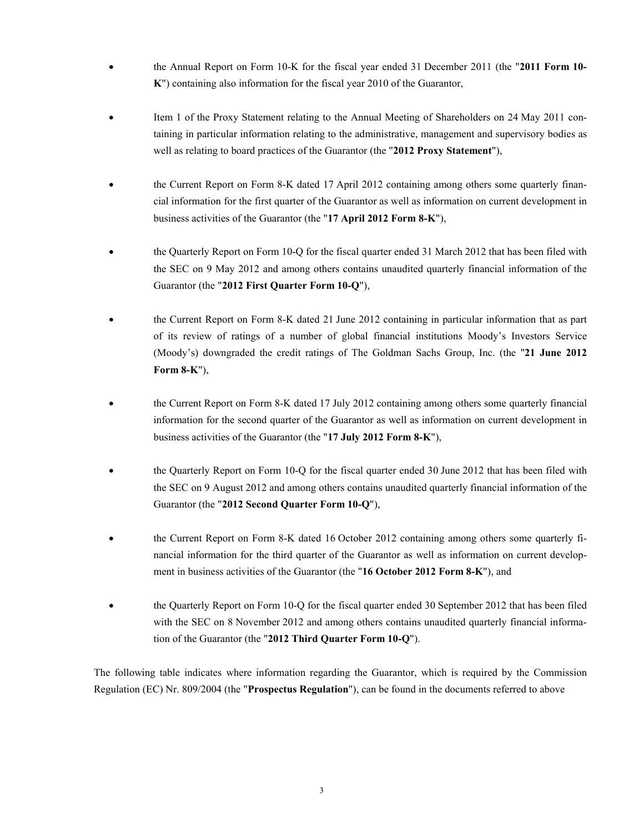- the Annual Report on Form 10-K for the fiscal year ended 31 December 2011 (the "**2011 Form 10- K**") containing also information for the fiscal year 2010 of the Guarantor,
- Item 1 of the Proxy Statement relating to the Annual Meeting of Shareholders on 24 May 2011 containing in particular information relating to the administrative, management and supervisory bodies as well as relating to board practices of the Guarantor (the "**2012 Proxy Statement**"),
- the Current Report on Form 8-K dated 17 April 2012 containing among others some quarterly financial information for the first quarter of the Guarantor as well as information on current development in business activities of the Guarantor (the "**17 April 2012 Form 8-K**"),
- the Quarterly Report on Form 10-Q for the fiscal quarter ended 31 March 2012 that has been filed with the SEC on 9 May 2012 and among others contains unaudited quarterly financial information of the Guarantor (the "**2012 First Quarter Form 10-Q**"),
- the Current Report on Form 8-K dated 21 June 2012 containing in particular information that as part of its review of ratings of a number of global financial institutions Moody's Investors Service (Moody's) downgraded the credit ratings of The Goldman Sachs Group, Inc. (the "**21 June 2012 Form 8-K**"),
- the Current Report on Form 8-K dated 17 July 2012 containing among others some quarterly financial information for the second quarter of the Guarantor as well as information on current development in business activities of the Guarantor (the "**17 July 2012 Form 8-K**"),
- the Quarterly Report on Form 10-Q for the fiscal quarter ended 30 June 2012 that has been filed with the SEC on 9 August 2012 and among others contains unaudited quarterly financial information of the Guarantor (the "**2012 Second Quarter Form 10-Q**"),
- the Current Report on Form 8-K dated 16 October 2012 containing among others some quarterly financial information for the third quarter of the Guarantor as well as information on current development in business activities of the Guarantor (the "**16 October 2012 Form 8-K**"), and
- the Quarterly Report on Form 10-Q for the fiscal quarter ended 30 September 2012 that has been filed with the SEC on 8 November 2012 and among others contains unaudited quarterly financial information of the Guarantor (the "**2012 Third Quarter Form 10-Q**").

The following table indicates where information regarding the Guarantor, which is required by the Commission Regulation (EC) Nr. 809/2004 (the "**Prospectus Regulation**"), can be found in the documents referred to above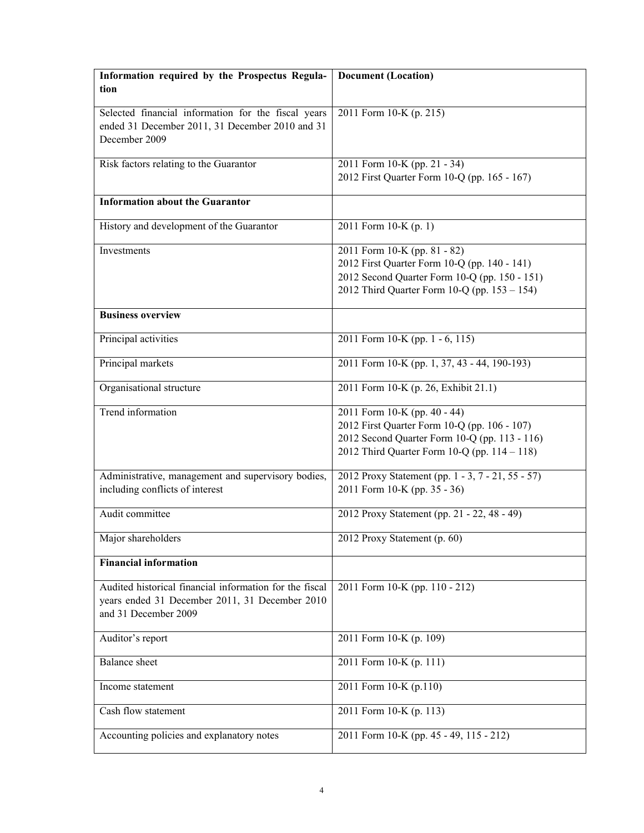| Information required by the Prospectus Regula-<br>tion                                                                            | <b>Document</b> (Location)                                                                                                                                                    |  |  |
|-----------------------------------------------------------------------------------------------------------------------------------|-------------------------------------------------------------------------------------------------------------------------------------------------------------------------------|--|--|
| Selected financial information for the fiscal years<br>ended 31 December 2011, 31 December 2010 and 31                            | 2011 Form 10-K (p. 215)                                                                                                                                                       |  |  |
| December 2009                                                                                                                     |                                                                                                                                                                               |  |  |
| Risk factors relating to the Guarantor                                                                                            | 2011 Form 10-K (pp. 21 - 34)<br>2012 First Quarter Form 10-Q (pp. 165 - 167)                                                                                                  |  |  |
| <b>Information about the Guarantor</b>                                                                                            |                                                                                                                                                                               |  |  |
| History and development of the Guarantor                                                                                          | 2011 Form 10-K (p. 1)                                                                                                                                                         |  |  |
| Investments                                                                                                                       | 2011 Form 10-K (pp. 81 - 82)<br>2012 First Quarter Form 10-Q (pp. 140 - 141)<br>2012 Second Quarter Form 10-Q (pp. 150 - 151)<br>2012 Third Quarter Form 10-Q (pp. 153 - 154) |  |  |
| <b>Business overview</b>                                                                                                          |                                                                                                                                                                               |  |  |
| Principal activities                                                                                                              | 2011 Form 10-K (pp. 1 - 6, 115)                                                                                                                                               |  |  |
| Principal markets                                                                                                                 | 2011 Form 10-K (pp. 1, 37, 43 - 44, 190-193)                                                                                                                                  |  |  |
| Organisational structure                                                                                                          | 2011 Form 10-K (p. 26, Exhibit 21.1)                                                                                                                                          |  |  |
| Trend information                                                                                                                 | 2011 Form 10-K (pp. 40 - 44)<br>2012 First Quarter Form 10-Q (pp. 106 - 107)<br>2012 Second Quarter Form 10-Q (pp. 113 - 116)<br>2012 Third Quarter Form 10-Q (pp. 114 - 118) |  |  |
| Administrative, management and supervisory bodies,                                                                                | 2012 Proxy Statement (pp. 1 - 3, 7 - 21, 55 - 57)                                                                                                                             |  |  |
| including conflicts of interest                                                                                                   | 2011 Form 10-K (pp. 35 - 36)                                                                                                                                                  |  |  |
| Audit committee                                                                                                                   | 2012 Proxy Statement (pp. 21 - 22, 48 - 49)                                                                                                                                   |  |  |
| Major shareholders                                                                                                                | 2012 Proxy Statement (p. 60)                                                                                                                                                  |  |  |
| <b>Financial information</b>                                                                                                      |                                                                                                                                                                               |  |  |
| Audited historical financial information for the fiscal<br>years ended 31 December 2011, 31 December 2010<br>and 31 December 2009 | 2011 Form 10-K (pp. 110 - 212)                                                                                                                                                |  |  |
| Auditor's report                                                                                                                  | 2011 Form 10-K (p. 109)                                                                                                                                                       |  |  |
| <b>Balance</b> sheet                                                                                                              | 2011 Form 10-K (p. 111)                                                                                                                                                       |  |  |
| Income statement                                                                                                                  | 2011 Form 10-K (p.110)                                                                                                                                                        |  |  |
| Cash flow statement                                                                                                               | 2011 Form 10-K (p. 113)                                                                                                                                                       |  |  |
| Accounting policies and explanatory notes                                                                                         | 2011 Form 10-K (pp. 45 - 49, 115 - 212)                                                                                                                                       |  |  |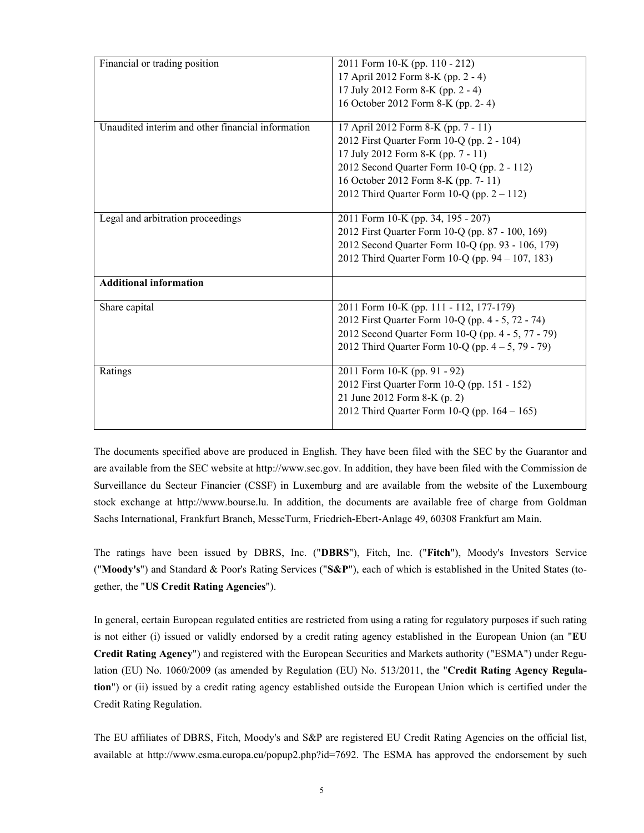| Financial or trading position                     | 2011 Form 10-K (pp. 110 - 212)                       |  |  |
|---------------------------------------------------|------------------------------------------------------|--|--|
|                                                   | 17 April 2012 Form 8-K (pp. 2 - 4)                   |  |  |
|                                                   | 17 July 2012 Form 8-K (pp. 2 - 4)                    |  |  |
|                                                   | 16 October 2012 Form 8-K (pp. 2-4)                   |  |  |
|                                                   |                                                      |  |  |
| Unaudited interim and other financial information | 17 April 2012 Form 8-K (pp. 7 - 11)                  |  |  |
|                                                   | 2012 First Quarter Form 10-Q (pp. 2 - 104)           |  |  |
|                                                   | 17 July 2012 Form 8-K (pp. 7 - 11)                   |  |  |
|                                                   | 2012 Second Quarter Form 10-Q (pp. 2 - 112)          |  |  |
|                                                   | 16 October 2012 Form 8-K (pp. 7-11)                  |  |  |
|                                                   | 2012 Third Quarter Form 10-Q (pp. $2 - 112$ )        |  |  |
|                                                   |                                                      |  |  |
| Legal and arbitration proceedings                 | 2011 Form 10-K (pp. 34, 195 - 207)                   |  |  |
|                                                   | 2012 First Quarter Form 10-Q (pp. 87 - 100, 169)     |  |  |
|                                                   | 2012 Second Quarter Form 10-Q (pp. 93 - 106, 179)    |  |  |
|                                                   | 2012 Third Quarter Form 10-Q (pp. 94 – 107, 183)     |  |  |
|                                                   |                                                      |  |  |
| <b>Additional information</b>                     |                                                      |  |  |
| Share capital                                     | 2011 Form 10-K (pp. 111 - 112, 177-179)              |  |  |
|                                                   | 2012 First Quarter Form 10-Q (pp. 4 - 5, 72 - 74)    |  |  |
|                                                   | 2012 Second Quarter Form 10-Q (pp. 4 - 5, 77 - 79)   |  |  |
|                                                   | 2012 Third Quarter Form 10-Q (pp. $4 - 5$ , 79 - 79) |  |  |
|                                                   |                                                      |  |  |
| Ratings                                           | 2011 Form 10-K (pp. 91 - 92)                         |  |  |
|                                                   | 2012 First Quarter Form 10-Q (pp. 151 - 152)         |  |  |
|                                                   | 21 June 2012 Form 8-K (p. 2)                         |  |  |
|                                                   | 2012 Third Quarter Form 10-Q (pp. $164 - 165$ )      |  |  |
|                                                   |                                                      |  |  |

The documents specified above are produced in English. They have been filed with the SEC by the Guarantor and are available from the SEC website at http://www.sec.gov. In addition, they have been filed with the Commission de Surveillance du Secteur Financier (CSSF) in Luxemburg and are available from the website of the Luxembourg stock exchange at http://www.bourse.lu. In addition, the documents are available free of charge from Goldman Sachs International, Frankfurt Branch, MesseTurm, Friedrich-Ebert-Anlage 49, 60308 Frankfurt am Main.

The ratings have been issued by DBRS, Inc. ("**DBRS**"), Fitch, Inc. ("**Fitch**"), Moody's Investors Service ("**Moody's**") and Standard & Poor's Rating Services ("**S&P**"), each of which is established in the United States (together, the "**US Credit Rating Agencies**").

In general, certain European regulated entities are restricted from using a rating for regulatory purposes if such rating is not either (i) issued or validly endorsed by a credit rating agency established in the European Union (an "**EU Credit Rating Agency**") and registered with the European Securities and Markets authority ("ESMA") under Regulation (EU) No. 1060/2009 (as amended by Regulation (EU) No. 513/2011, the "**Credit Rating Agency Regulation**") or (ii) issued by a credit rating agency established outside the European Union which is certified under the Credit Rating Regulation.

The EU affiliates of DBRS, Fitch, Moody's and S&P are registered EU Credit Rating Agencies on the official list, available at [http://www.esma.europa.eu/popup2.php?id=7692.](http://www.esma.europa.eu/popup2.php?id=7692) The ESMA has approved the endorsement by such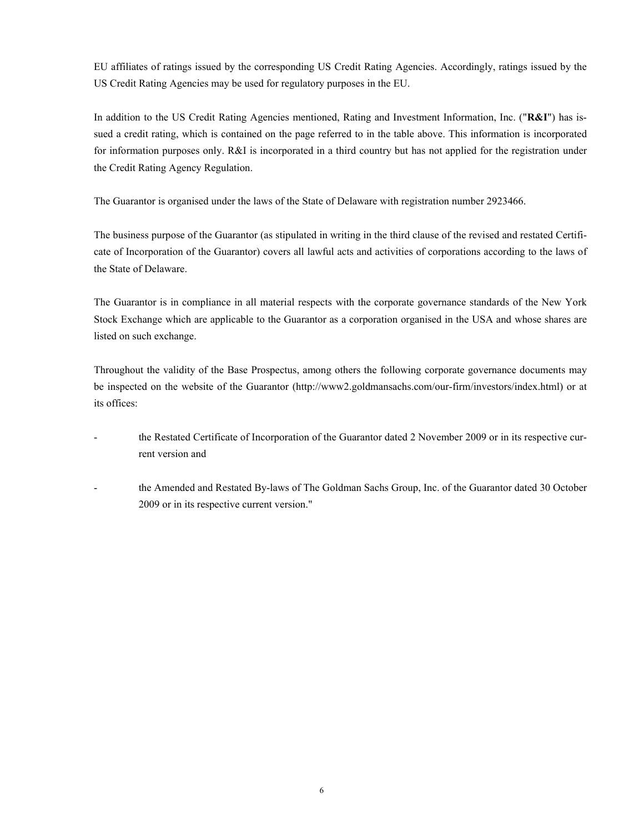EU affiliates of ratings issued by the corresponding US Credit Rating Agencies. Accordingly, ratings issued by the US Credit Rating Agencies may be used for regulatory purposes in the EU.

In addition to the US Credit Rating Agencies mentioned, Rating and Investment Information, Inc. ("**R&I**") has issued a credit rating, which is contained on the page referred to in the table above. This information is incorporated for information purposes only. R&I is incorporated in a third country but has not applied for the registration under the Credit Rating Agency Regulation.

The Guarantor is organised under the laws of the State of Delaware with registration number 2923466.

The business purpose of the Guarantor (as stipulated in writing in the third clause of the revised and restated Certificate of Incorporation of the Guarantor) covers all lawful acts and activities of corporations according to the laws of the State of Delaware.

The Guarantor is in compliance in all material respects with the corporate governance standards of the New York Stock Exchange which are applicable to the Guarantor as a corporation organised in the USA and whose shares are listed on such exchange.

Throughout the validity of the Base Prospectus, among others the following corporate governance documents may be inspected on the website of the Guarantor (http://www2.goldmansachs.com/our-firm/investors/index.html) or at its offices:

- the Restated Certificate of Incorporation of the Guarantor dated 2 November 2009 or in its respective current version and
- the Amended and Restated By-laws of The Goldman Sachs Group, Inc. of the Guarantor dated 30 October 2009 or in its respective current version."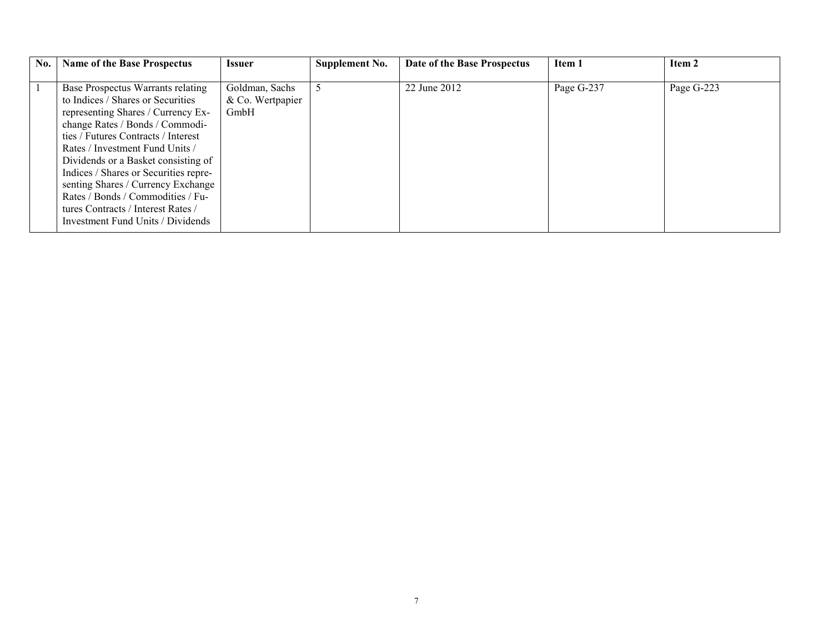| No. | <b>Name of the Base Prospectus</b>                                                                                                                                                                                                                                                                                                                                                                                                                              | <b>Issuer</b>                              | Supplement No. | Date of the Base Prospectus | Item 1     | Item 2     |
|-----|-----------------------------------------------------------------------------------------------------------------------------------------------------------------------------------------------------------------------------------------------------------------------------------------------------------------------------------------------------------------------------------------------------------------------------------------------------------------|--------------------------------------------|----------------|-----------------------------|------------|------------|
|     | Base Prospectus Warrants relating<br>to Indices / Shares or Securities<br>representing Shares / Currency Ex-<br>change Rates / Bonds / Commodi-<br>ties / Futures Contracts / Interest<br>Rates / Investment Fund Units /<br>Dividends or a Basket consisting of<br>Indices / Shares or Securities repre-<br>senting Shares / Currency Exchange<br>Rates / Bonds / Commodities / Fu-<br>tures Contracts / Interest Rates /<br>Investment Fund Units / Dividends | Goldman, Sachs<br>& Co. Wertpapier<br>GmbH | 5              | 22 June 2012                | Page G-237 | Page G-223 |